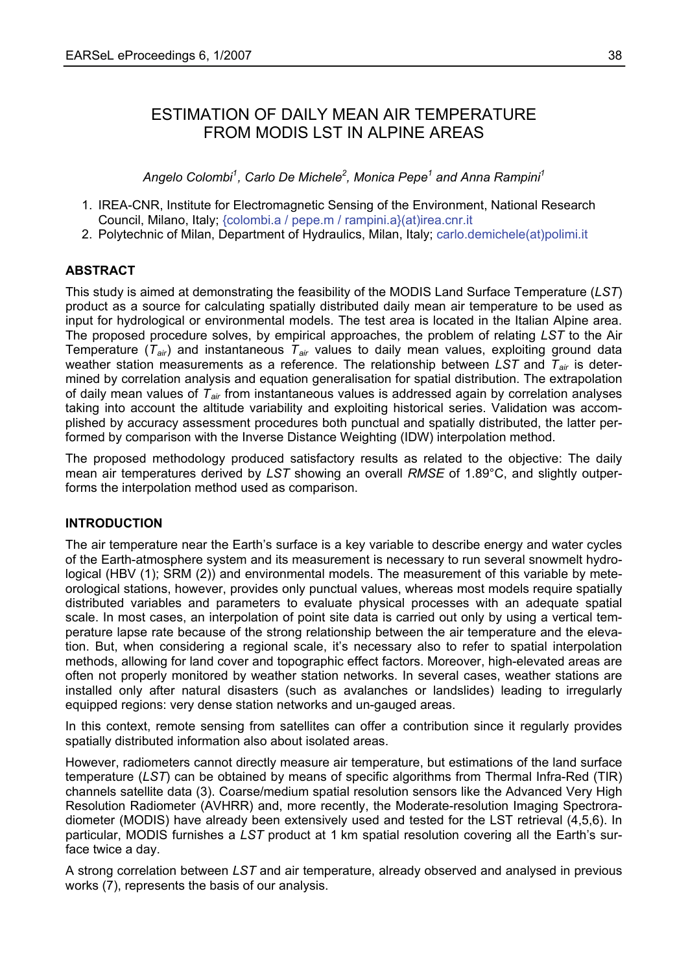# ESTIMATION OF DAILY MEAN AIR TEMPERATURE FROM MODIS LST IN ALPINE AREAS

*Angelo Colombi<sup>1</sup> , Carlo De Michele<sup>2</sup> , Monica Pepe<sup>1</sup> and Anna Rampini<sup>1</sup>*

- 1. IREA-CNR, Institute for Electromagnetic Sensing of the Environment, National Research Council, Milano, Italy; {colombi.a / pepe.m / rampini.a}(at)irea.cnr.it
- 2. Polytechnic of Milan, Department of Hydraulics, Milan, Italy; carlo.demichele(at)polimi.it

# **ABSTRACT**

This study is aimed at demonstrating the feasibility of the MODIS Land Surface Temperature (*LST*) product as a source for calculating spatially distributed daily mean air temperature to be used as input for hydrological or environmental models. The test area is located in the Italian Alpine area. The proposed procedure solves, by empirical approaches, the problem of relating *LST* to the Air Temperature (*Tair*) and instantaneous *Tair* values to daily mean values, exploiting ground data weather station measurements as a reference. The relationship between *LST* and  $T_{air}$  is determined by correlation analysis and equation generalisation for spatial distribution. The extrapolation of daily mean values of *Tair* from instantaneous values is addressed again by correlation analyses taking into account the altitude variability and exploiting historical series. Validation was accomplished by accuracy assessment procedures both punctual and spatially distributed, the latter performed by comparison with the Inverse Distance Weighting (IDW) interpolation method.

The proposed methodology produced satisfactory results as related to the objective: The daily mean air temperatures derived by *LST* showing an overall *RMSE* of 1.89°C, and slightly outperforms the interpolation method used as comparison.

### **INTRODUCTION**

The air temperature near the Earth's surface is a key variable to describe energy and water cycles of the Earth-atmosphere system and its measurement is necessary to run several snowmelt hydrological (HBV (1); SRM (2)) and environmental models. The measurement of this variable by meteorological stations, however, provides only punctual values, whereas most models require spatially distributed variables and parameters to evaluate physical processes with an adequate spatial scale. In most cases, an interpolation of point site data is carried out only by using a vertical temperature lapse rate because of the strong relationship between the air temperature and the elevation. But, when considering a regional scale, it's necessary also to refer to spatial interpolation methods, allowing for land cover and topographic effect factors. Moreover, high-elevated areas are often not properly monitored by weather station networks. In several cases, weather stations are installed only after natural disasters (such as avalanches or landslides) leading to irregularly equipped regions: very dense station networks and un-gauged areas.

In this context, remote sensing from satellites can offer a contribution since it regularly provides spatially distributed information also about isolated areas.

However, radiometers cannot directly measure air temperature, but estimations of the land surface temperature (*LST*) can be obtained by means of specific algorithms from Thermal Infra-Red (TIR) channels satellite data (3). Coarse/medium spatial resolution sensors like the Advanced Very High Resolution Radiometer (AVHRR) and, more recently, the Moderate-resolution Imaging Spectroradiometer (MODIS) have already been extensively used and tested for the LST retrieval (4,5,6). In particular, MODIS furnishes a *LST* product at 1 km spatial resolution covering all the Earth's surface twice a day.

A strong correlation between *LST* and air temperature, already observed and analysed in previous works (7), represents the basis of our analysis.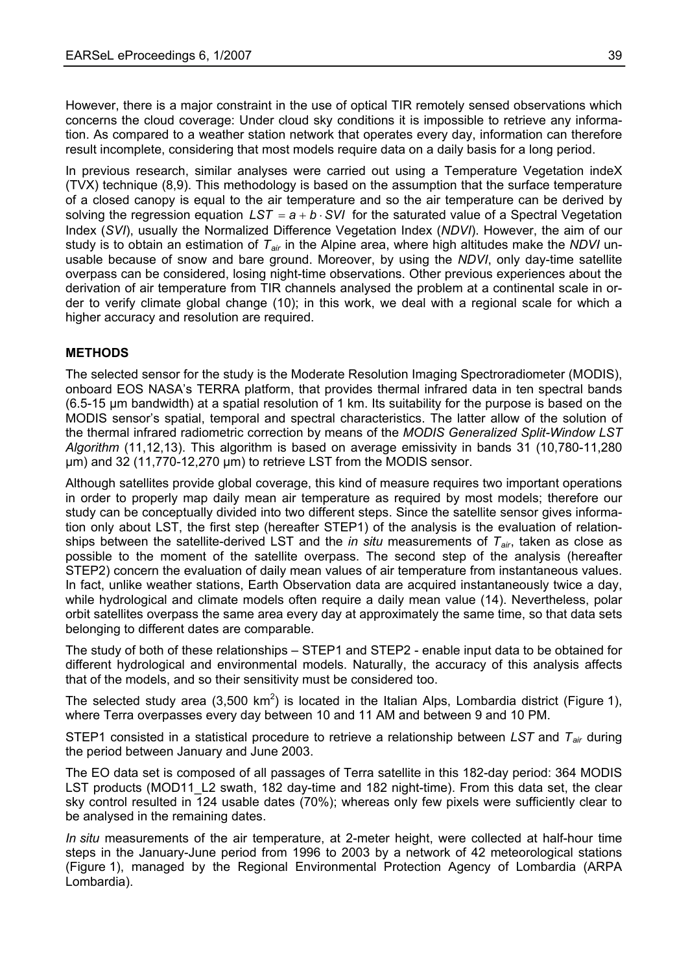However, there is a major constraint in the use of optical TIR remotely sensed observations which concerns the cloud coverage: Under cloud sky conditions it is impossible to retrieve any information. As compared to a weather station network that operates every day, information can therefore result incomplete, considering that most models require data on a daily basis for a long period.

In previous research, similar analyses were carried out using a Temperature Vegetation indeX (TVX) technique (8,9). This methodology is based on the assumption that the surface temperature of a closed canopy is equal to the air temperature and so the air temperature can be derived by solving the regression equation  $LST = a + b \cdot SVI$  for the saturated value of a Spectral Vegetation Index (*SVI*), usually the Normalized Difference Vegetation Index (*NDVI*). However, the aim of our study is to obtain an estimation of *Tair* in the Alpine area, where high altitudes make the *NDVI* unusable because of snow and bare ground. Moreover, by using the *NDVI*, only day-time satellite overpass can be considered, losing night-time observations. Other previous experiences about the derivation of air temperature from TIR channels analysed the problem at a continental scale in order to verify climate global change (10); in this work, we deal with a regional scale for which a higher accuracy and resolution are required.

## **METHODS**

The selected sensor for the study is the Moderate Resolution Imaging Spectroradiometer (MODIS), onboard EOS NASA's TERRA platform, that provides thermal infrared data in ten spectral bands (6.5-15 µm bandwidth) at a spatial resolution of 1 km. Its suitability for the purpose is based on the MODIS sensor's spatial, temporal and spectral characteristics. The latter allow of the solution of the thermal infrared radiometric correction by means of the *MODIS Generalized Split-Window LST Algorithm* (11,12,13). This algorithm is based on average emissivity in bands 31 (10,780-11,280 µm) and 32 (11,770-12,270 µm) to retrieve LST from the MODIS sensor.

Although satellites provide global coverage, this kind of measure requires two important operations in order to properly map daily mean air temperature as required by most models; therefore our study can be conceptually divided into two different steps. Since the satellite sensor gives information only about LST, the first step (hereafter STEP1) of the analysis is the evaluation of relationships between the satellite-derived LST and the *in situ* measurements of *Tair*, taken as close as possible to the moment of the satellite overpass. The second step of the analysis (hereafter STEP2) concern the evaluation of daily mean values of air temperature from instantaneous values. In fact, unlike weather stations, Earth Observation data are acquired instantaneously twice a day, while hydrological and climate models often require a daily mean value (14). Nevertheless, polar orbit satellites overpass the same area every day at approximately the same time, so that data sets belonging to different dates are comparable.

The study of both of these relationships – STEP1 and STEP2 - enable input data to be obtained for different hydrological and environmental models. Naturally, the accuracy of this analysis affects that of the models, and so their sensitivity must be considered too.

The selected study area (3,500 km<sup>2</sup>) is located in the Italian Alps, Lombardia district (Figure 1), where Terra overpasses every day between 10 and 11 AM and between 9 and 10 PM.

STEP1 consisted in a statistical procedure to retrieve a relationship between *LST* and *Tair* during the period between January and June 2003.

The EO data set is composed of all passages of Terra satellite in this 182-day period: 364 MODIS LST products (MOD11 L2 swath, 182 day-time and 182 night-time). From this data set, the clear sky control resulted in 124 usable dates (70%); whereas only few pixels were sufficiently clear to be analysed in the remaining dates.

*In situ* measurements of the air temperature, at 2-meter height, were collected at half-hour time steps in the January-June period from 1996 to 2003 by a network of 42 meteorological stations (Figure 1), managed by the Regional Environmental Protection Agency of Lombardia (ARPA Lombardia).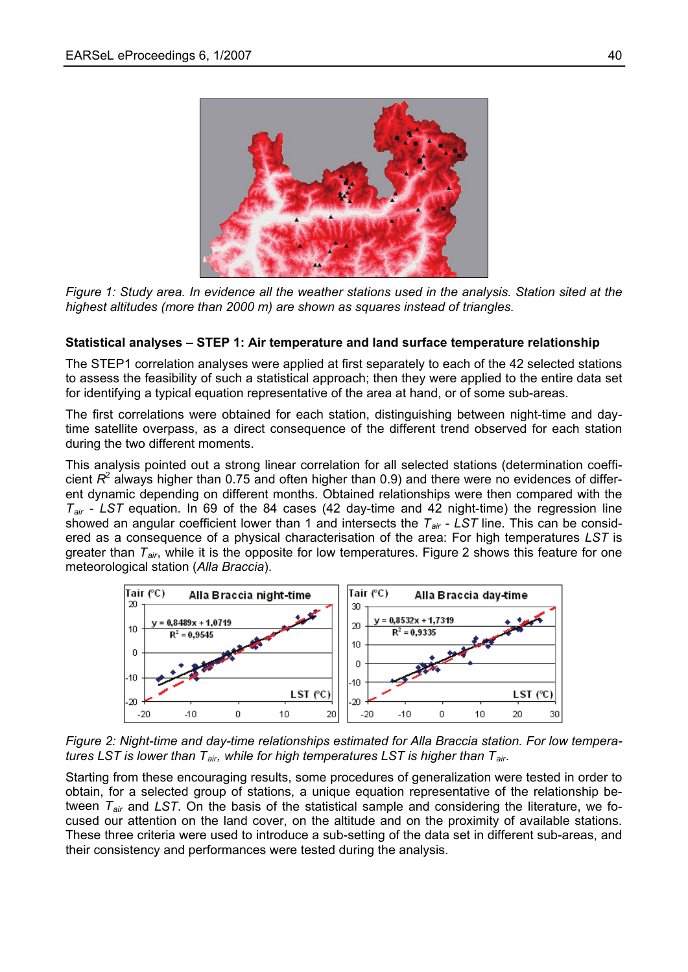

*Figure 1: Study area. In evidence all the weather stations used in the analysis. Station sited at the highest altitudes (more than 2000 m) are shown as squares instead of triangles.* 

### **Statistical analyses – STEP 1: Air temperature and land surface temperature relationship**

The STEP1 correlation analyses were applied at first separately to each of the 42 selected stations to assess the feasibility of such a statistical approach; then they were applied to the entire data set for identifying a typical equation representative of the area at hand, or of some sub-areas.

The first correlations were obtained for each station, distinguishing between night-time and daytime satellite overpass, as a direct consequence of the different trend observed for each station during the two different moments.

This analysis pointed out a strong linear correlation for all selected stations (determination coefficient *R*<sup>2</sup> always higher than 0.75 and often higher than 0.9) and there were no evidences of different dynamic depending on different months. Obtained relationships were then compared with the *Tair* - *LST* equation. In 69 of the 84 cases (42 day-time and 42 night-time) the regression line showed an angular coefficient lower than 1 and intersects the *Tair* - *LST* line. This can be considered as a consequence of a physical characterisation of the area: For high temperatures *LST* is greater than *Tair*, while it is the opposite for low temperatures. Figure 2 shows this feature for one meteorological station (*Alla Braccia*).



*Figure 2: Night-time and day-time relationships estimated for Alla Braccia station. For low temperatures LST is lower than T<sub>air</sub>, while for high temperatures LST is higher than T<sub>air</sub>.* 

Starting from these encouraging results, some procedures of generalization were tested in order to obtain, for a selected group of stations, a unique equation representative of the relationship between *Tair* and *LST*. On the basis of the statistical sample and considering the literature, we focused our attention on the land cover, on the altitude and on the proximity of available stations. These three criteria were used to introduce a sub-setting of the data set in different sub-areas, and their consistency and performances were tested during the analysis.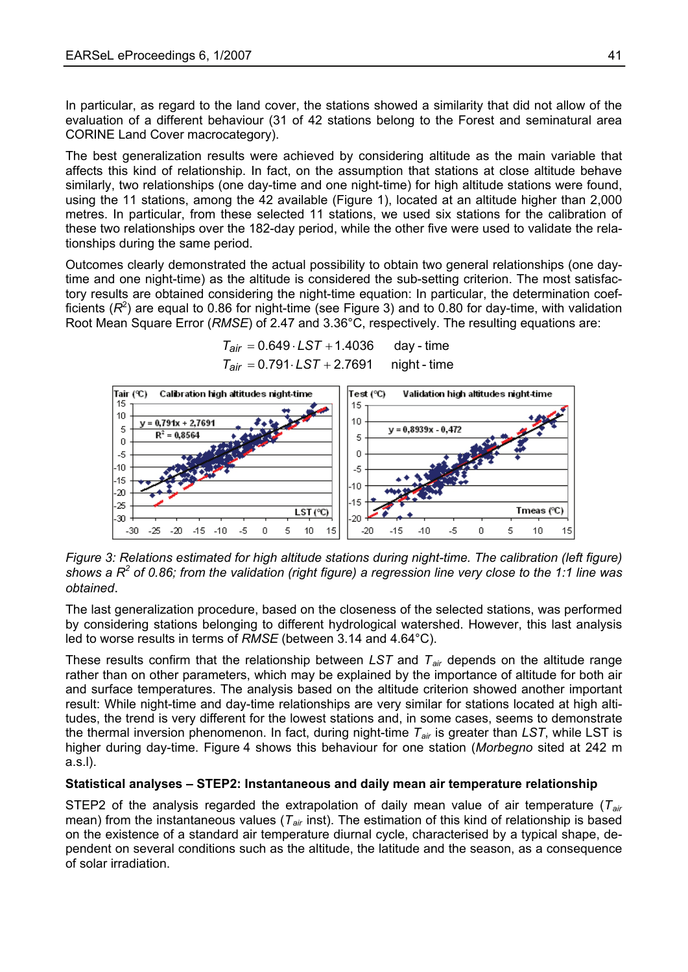In particular, as regard to the land cover, the stations showed a similarity that did not allow of the evaluation of a different behaviour (31 of 42 stations belong to the Forest and seminatural area CORINE Land Cover macrocategory).

The best generalization results were achieved by considering altitude as the main variable that affects this kind of relationship. In fact, on the assumption that stations at close altitude behave similarly, two relationships (one day-time and one night-time) for high altitude stations were found, using the 11 stations, among the 42 available (Figure 1), located at an altitude higher than 2,000 metres. In particular, from these selected 11 stations, we used six stations for the calibration of these two relationships over the 182-day period, while the other five were used to validate the relationships during the same period.

Outcomes clearly demonstrated the actual possibility to obtain two general relationships (one daytime and one night-time) as the altitude is considered the sub-setting criterion. The most satisfactory results are obtained considering the night-time equation: In particular, the determination coefficients  $(R^2)$  are equal to 0.86 for night-time (see Figure 3) and to 0.80 for day-time, with validation Root Mean Square Error (*RMSE*) of 2.47 and 3.36°C, respectively. The resulting equations are:

> $T_{\text{air}} = 0.649 \cdot \text{LST} + 1.4036$  day - time  $T_{air} = 0.791 \cdot LST + 2.7691$  night - time



*Figure 3: Relations estimated for high altitude stations during night-time. The calibration (left figure)*  shows a  $R^2$  of 0.86; from the validation (right figure) a regression line very close to the 1:1 line was *obtained* .

The last generalization procedure, based on the closeness of the selected stations, was performed by considering stations belonging to different hydrological watershed. However, this last analysis led to worse results in terms of *RMSE* (between 3.14 and 4.64°C).

These results confirm that the relationship between *LST* and *Tair* depends on the altitude range rather than on other parameters, which may be explained by the importance of altitude for both air and surface temperatures. The analysis based on the altitude criterion showed another important result: While night-time and day-time relationships are very similar for stations located at high altitudes, the trend is very different for the lowest stations and, in some cases, seems to demonstrate the thermal inversion phenomenon. In fact, during night-time *Tair* is greater than *LST*, while LST is higher during day-time. Figure 4 shows this behaviour for one station (*Morbegno* sited at 242 m a.s.l).

### **Statistical analyses – STEP2: Instantaneous and daily mean air temperature relationship**

STEP2 of the analysis regarded the extrapolation of daily mean value of air temperature (*Tair* mean) from the instantaneous values (*Tair* inst). The estimation of this kind of relationship is based on the existence of a standard air temperature diurnal cycle, characterised by a typical shape, dependent on several conditions such as the altitude, the latitude and the season, as a consequence of solar irradiation.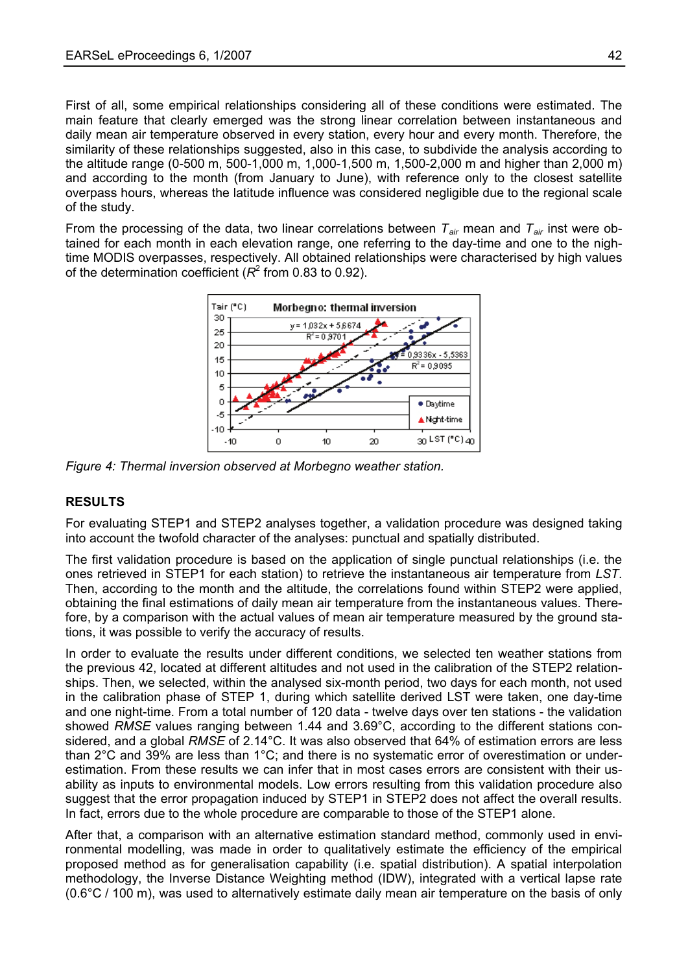First of all, some empirical relationships considering all of these conditions were estimated. The main feature that clearly emerged was the strong linear correlation between instantaneous and daily mean air temperature observed in every station, every hour and every month. Therefore, the similarity of these relationships suggested, also in this case, to subdivide the analysis according to the altitude range (0-500 m, 500-1,000 m, 1,000-1,500 m, 1,500-2,000 m and higher than 2,000 m) and according to the month (from January to June), with reference only to the closest satellite overpass hours, whereas the latitude influence was considered negligible due to the regional scale of the study.

From the processing of the data, two linear correlations between  $T_{air}$  mean and  $T_{air}$  inst were obtained for each month in each elevation range, one referring to the day-time and one to the nightime MODIS overpasses, respectively. All obtained relationships were characterised by high values of the determination coefficient  $(R^2$  from 0.83 to 0.92).



*Figure 4: Thermal inversion observed at Morbegno weather station.* 

### **RESULTS**

For evaluating STEP1 and STEP2 analyses together, a validation procedure was designed taking into account the twofold character of the analyses: punctual and spatially distributed.

The first validation procedure is based on the application of single punctual relationships (i.e. the ones retrieved in STEP1 for each station) to retrieve the instantaneous air temperature from *LST*. Then, according to the month and the altitude, the correlations found within STEP2 were applied, obtaining the final estimations of daily mean air temperature from the instantaneous values. Therefore, by a comparison with the actual values of mean air temperature measured by the ground stations, it was possible to verify the accuracy of results.

In order to evaluate the results under different conditions, we selected ten weather stations from the previous 42, located at different altitudes and not used in the calibration of the STEP2 relationships. Then, we selected, within the analysed six-month period, two days for each month, not used in the calibration phase of STEP 1, during which satellite derived LST were taken, one day-time and one night-time. From a total number of 120 data - twelve days over ten stations - the validation showed *RMSE* values ranging between 1.44 and 3.69°C, according to the different stations considered, and a global *RMSE* of 2.14°C. It was also observed that 64% of estimation errors are less than 2°C and 39% are less than 1°C; and there is no systematic error of overestimation or underestimation. From these results we can infer that in most cases errors are consistent with their usability as inputs to environmental models. Low errors resulting from this validation procedure also suggest that the error propagation induced by STEP1 in STEP2 does not affect the overall results. In fact, errors due to the whole procedure are comparable to those of the STEP1 alone.

After that, a comparison with an alternative estimation standard method, commonly used in environmental modelling, was made in order to qualitatively estimate the efficiency of the empirical proposed method as for generalisation capability (i.e. spatial distribution). A spatial interpolation methodology, the Inverse Distance Weighting method (IDW), integrated with a vertical lapse rate (0.6°C / 100 m), was used to alternatively estimate daily mean air temperature on the basis of only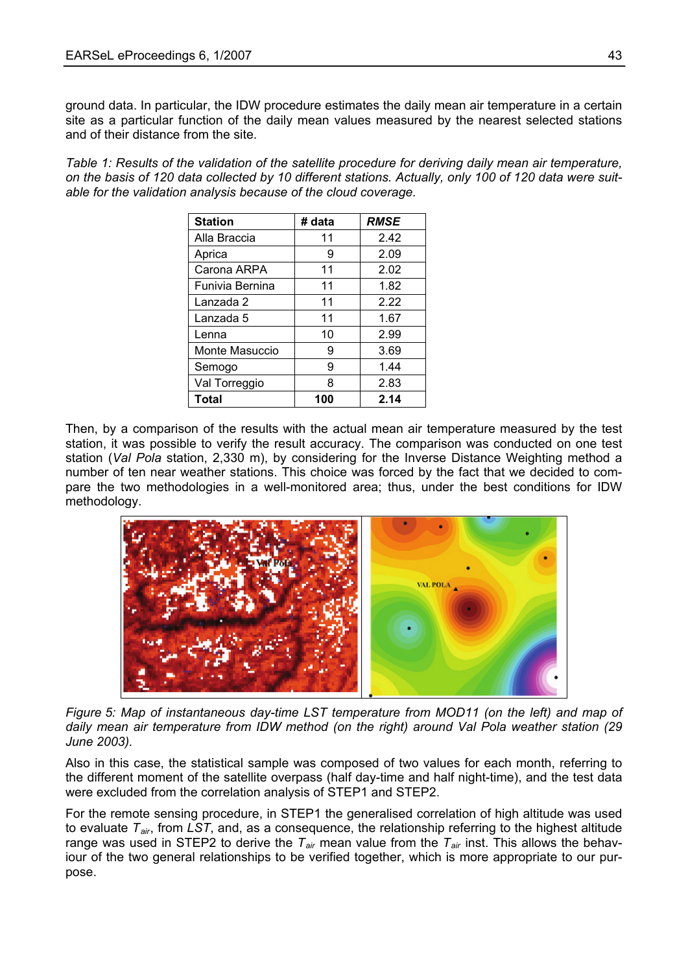ground data. In particular, the IDW procedure estimates the daily mean air temperature in a certain site as a particular function of the daily mean values measured by the nearest selected stations and of their distance from the site.

*Table 1: Results of the validation of the satellite procedure for deriving daily mean air temperature, on the basis of 120 data collected by 10 different stations. Actually, only 100 of 120 data were suitable for the validation analysis because of the cloud coverage.* 

| <b>Station</b>  | # data | <b>RMSE</b> |  |
|-----------------|--------|-------------|--|
| Alla Braccia    | 11     | 2.42        |  |
| Aprica          | 9      | 2.09        |  |
| Carona ARPA     | 11     | 2.02        |  |
| Funivia Bernina | 11     | 1.82        |  |
| Lanzada 2       | 11     | 222         |  |
| Lanzada 5       | 11     | 1.67        |  |
| Lenna           | 10     | 2.99        |  |
| Monte Masuccio  | 9      | 3.69        |  |
| Semogo          | 9      | 1.44        |  |
| Val Torreggio   | 8      | 2.83        |  |
| Total           | 100    | 2.14        |  |

Then, by a comparison of the results with the actual mean air temperature measured by the test station, it was possible to verify the result accuracy. The comparison was conducted on one test station (*Val Pola* station, 2,330 m), by considering for the Inverse Distance Weighting method a number of ten near weather stations. This choice was forced by the fact that we decided to compare the two methodologies in a well-monitored area; thus, under the best conditions for IDW methodology.



*Figure 5: Map of instantaneous day-time LST temperature from MOD11 (on the left) and map of daily mean air temperature from IDW method (on the right) around Val Pola weather station (29 June 2003).* 

Also in this case, the statistical sample was composed of two values for each month, referring to the different moment of the satellite overpass (half day-time and half night-time), and the test data were excluded from the correlation analysis of STEP1 and STEP2.

For the remote sensing procedure, in STEP1 the generalised correlation of high altitude was used to evaluate *Tair*, from *LST*, and, as a consequence, the relationship referring to the highest altitude range was used in STEP2 to derive the  $T_{air}$  mean value from the  $T_{air}$  inst. This allows the behaviour of the two general relationships to be verified together, which is more appropriate to our purpose.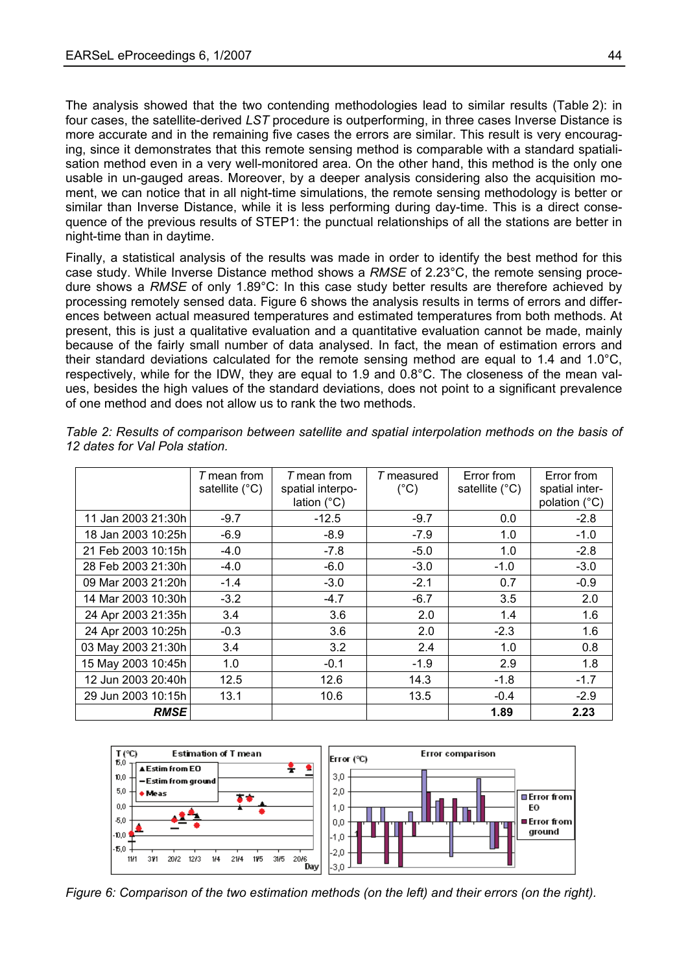The analysis showed that the two contending methodologies lead to similar results (Table 2): in four cases, the satellite-derived *LST* procedure is outperforming, in three cases Inverse Distance is more accurate and in the remaining five cases the errors are similar. This result is very encouraging, since it demonstrates that this remote sensing method is comparable with a standard spatialisation method even in a very well-monitored area. On the other hand, this method is the only one usable in un-gauged areas. Moreover, by a deeper analysis considering also the acquisition moment, we can notice that in all night-time simulations, the remote sensing methodology is better or similar than Inverse Distance, while it is less performing during day-time. This is a direct consequence of the previous results of STEP1: the punctual relationships of all the stations are better in night-time than in daytime.

respectively, while for the IDW, they are equal to 1.9 and 0.8°C. The closeness of the mean values, besides the high values of the standard deviations, does not point to a significant prevalence Finally, a statistical analysis of the results was made in order to identify the best method for this case study. While Inverse Distance method shows a *RMSE* of 2.23°C, the remote sensing procedure shows a *RMSE* of only 1.89°C: In this case study better results are therefore achieved by processing remotely sensed data. Figure 6 shows the analysis results in terms of errors and differences between actual measured temperatures and estimated temperatures from both methods. At present, this is just a qualitative evaluation and a quantitative evaluation cannot be made, mainly because of the fairly small number of data analysed. In fact, the mean of estimation errors and their standard deviations calculated for the remote sensing method are equal to 1.4 and 1.0°C, of one method and does not allow us to rank the two methods.

|                    | T mean from<br>satellite $(^{\circ}C)$ | $T$ mean from<br>spatial interpo-<br>lation $(^{\circ}C)$ | T measured<br>$(^{\circ}C)$ | Error from<br>satellite $(^{\circ}C)$ | Error from<br>spatial inter-<br>polation (°C) |
|--------------------|----------------------------------------|-----------------------------------------------------------|-----------------------------|---------------------------------------|-----------------------------------------------|
| 11 Jan 2003 21:30h | $-9.7$                                 | $-12.5$                                                   | $-9.7$                      | 0.0                                   | $-2.8$                                        |
| 18 Jan 2003 10:25h | $-6.9$                                 | $-8.9$                                                    | $-7.9$                      | 1.0                                   | $-1.0$                                        |
| 21 Feb 2003 10:15h | $-4.0$                                 | $-7.8$                                                    | $-5.0$                      | 1.0                                   | $-2.8$                                        |
| 28 Feb 2003 21:30h | $-4.0$                                 | $-6.0$                                                    | $-3.0$                      | $-1.0$                                | $-3.0$                                        |
| 09 Mar 2003 21:20h | $-1.4$                                 | $-3.0$                                                    | $-2.1$                      | 0.7                                   | $-0.9$                                        |
| 14 Mar 2003 10:30h | $-3.2$                                 | $-4.7$                                                    | $-6.7$                      | 3.5                                   | 2.0                                           |
| 24 Apr 2003 21:35h | 3.4                                    | 3.6                                                       | 2.0                         | 1.4                                   | 1.6                                           |
| 24 Apr 2003 10:25h | $-0.3$                                 | 3.6                                                       | 2.0                         | $-2.3$                                | 1.6                                           |
| 03 May 2003 21:30h | 3.4                                    | 3.2                                                       | 2.4                         | 1.0                                   | 0.8                                           |
| 15 May 2003 10:45h | 1.0                                    | $-0.1$                                                    | $-1.9$                      | 2.9                                   | 1.8                                           |
| 12 Jun 2003 20:40h | 12.5                                   | 12.6                                                      | 14.3                        | $-1.8$                                | $-1.7$                                        |
| 29 Jun 2003 10:15h | 13.1                                   | 10.6                                                      | 13.5                        | $-0.4$                                | $-2.9$                                        |
| <b>RMSE</b>        |                                        |                                                           |                             | 1.89                                  | 2.23                                          |

*Table 2: Results of comparison between satellite and spatial interpolation methods on the basis of*  12 dates for Val Pola station.



*Figure 6: Comparison of the two estimation methods (on the left) and their errors (on the right).*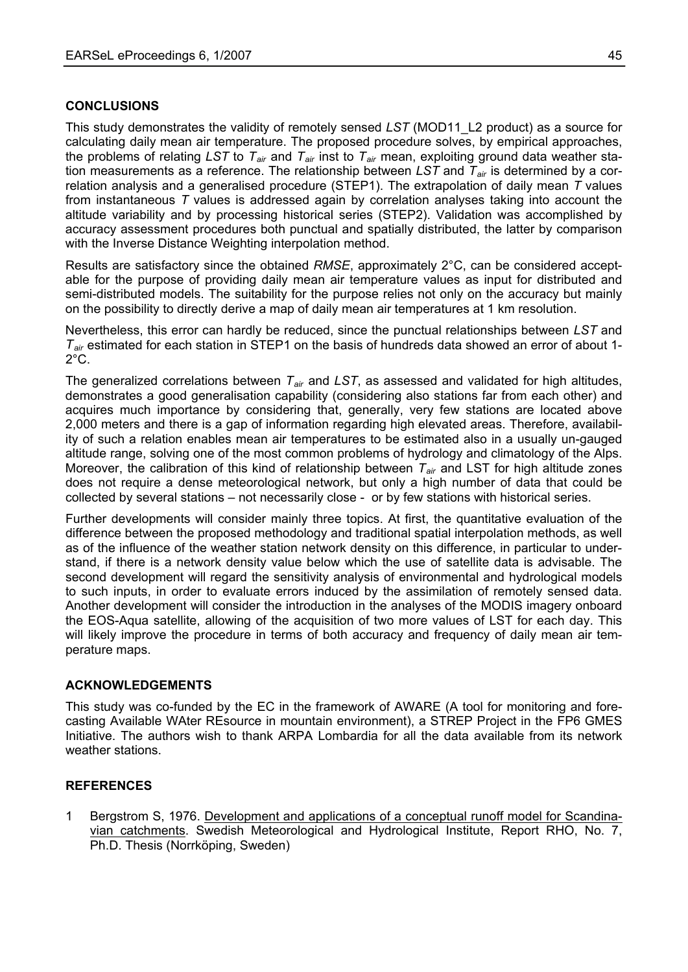#### **CONCLUSIONS**

This study demonstrates the validity of remotely sensed *LST* (MOD11\_L2 product) as a source for calculating daily mean air temperature. The proposed procedure solves, by empirical approaches, the problems of relating *LST* to *Tair* and *Tair* inst to *Tair* mean, exploiting ground data weather station measurements as a reference. The relationship between *LST* and *Tair* is determined by a correlation analysis and a generalised procedure (STEP1). The extrapolation of daily mean *T* values from instantaneous *T* values is addressed again by correlation analyses taking into account the altitude variability and by processing historical series (STEP2). Validation was accomplished by accuracy assessment procedures both punctual and spatially distributed, the latter by comparison with the Inverse Distance Weighting interpolation method.

Results are satisfactory since the obtained *RMSE*, approximately 2°C, can be considered acceptable for the purpose of providing daily mean air temperature values as input for distributed and semi-distributed models. The suitability for the purpose relies not only on the accuracy but mainly on the possibility to directly derive a map of daily mean air temperatures at 1 km resolution.

Nevertheless, this error can hardly be reduced, since the punctual relationships between *LST* and *Tair* estimated for each station in STEP1 on the basis of hundreds data showed an error of about 1-  $2^{\circ}$ C.

The generalized correlations between *Tair* and *LST*, as assessed and validated for high altitudes, demonstrates a good generalisation capability (considering also stations far from each other) and acquires much importance by considering that, generally, very few stations are located above 2,000 meters and there is a gap of information regarding high elevated areas. Therefore, availability of such a relation enables mean air temperatures to be estimated also in a usually un-gauged altitude range, solving one of the most common problems of hydrology and climatology of the Alps. Moreover, the calibration of this kind of relationship between *Tair* and LST for high altitude zones does not require a dense meteorological network, but only a high number of data that could be collected by several stations – not necessarily close - or by few stations with historical series.

Further developments will consider mainly three topics. At first, the quantitative evaluation of the difference between the proposed methodology and traditional spatial interpolation methods, as well as of the influence of the weather station network density on this difference, in particular to understand, if there is a network density value below which the use of satellite data is advisable. The second development will regard the sensitivity analysis of environmental and hydrological models to such inputs, in order to evaluate errors induced by the assimilation of remotely sensed data. Another development will consider the introduction in the analyses of the MODIS imagery onboard the EOS-Aqua satellite, allowing of the acquisition of two more values of LST for each day. This will likely improve the procedure in terms of both accuracy and frequency of daily mean air temperature maps.

#### **ACKNOWLEDGEMENTS**

This study was co-funded by the EC in the framework of AWARE (A tool for monitoring and forecasting Available WAter REsource in mountain environment), a STREP Project in the FP6 GMES Initiative. The authors wish to thank ARPA Lombardia for all the data available from its network weather stations.

#### **REFERENCES**

1 Bergstrom S, 1976. Development and applications of a conceptual runoff model for Scandinavian catchments. Swedish Meteorological and Hydrological Institute, Report RHO, No. 7, Ph.D. Thesis (Norrköping, Sweden)